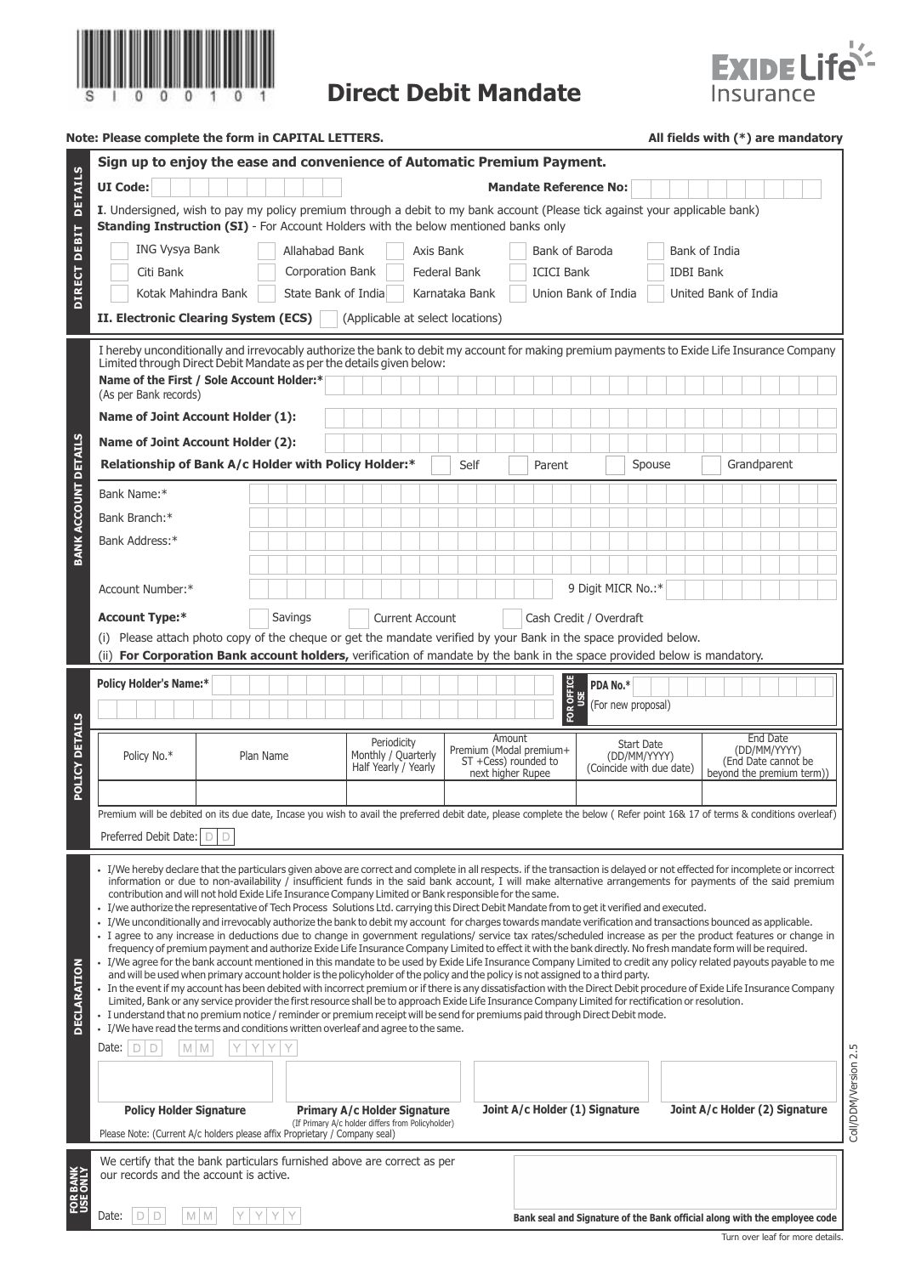

## **Direct Debit Mandate**



| Note: Please complete the form in CAPITAL LETTERS. | All fields with $(*)$ are mandatory |
|----------------------------------------------------|-------------------------------------|
|----------------------------------------------------|-------------------------------------|

|                             | Sign up to enjoy the ease and convenience of Automatic Premium Payment.                                                                                                                                                                                                                                                                   |                                                                                                                                                                                                                                                      |                                                            |                     |                                                                                |                   |                                |                                   |                                                                              |                      |  |  |
|-----------------------------|-------------------------------------------------------------------------------------------------------------------------------------------------------------------------------------------------------------------------------------------------------------------------------------------------------------------------------------------|------------------------------------------------------------------------------------------------------------------------------------------------------------------------------------------------------------------------------------------------------|------------------------------------------------------------|---------------------|--------------------------------------------------------------------------------|-------------------|--------------------------------|-----------------------------------|------------------------------------------------------------------------------|----------------------|--|--|
| <b>DETAILS</b>              | <b>UI Code:</b><br><b>Mandate Reference No:</b>                                                                                                                                                                                                                                                                                           |                                                                                                                                                                                                                                                      |                                                            |                     |                                                                                |                   |                                |                                   |                                                                              |                      |  |  |
|                             | I. Undersigned, wish to pay my policy premium through a debit to my bank account (Please tick against your applicable bank)<br><b>Standing Instruction (SI)</b> - For Account Holders with the below mentioned banks only                                                                                                                 |                                                                                                                                                                                                                                                      |                                                            |                     |                                                                                |                   |                                |                                   |                                                                              |                      |  |  |
| <b>DIRECT DEBIT</b>         | <b>ING Vysya Bank</b>                                                                                                                                                                                                                                                                                                                     | Allahabad Bank                                                                                                                                                                                                                                       |                                                            | Axis Bank           |                                                                                | Bank of Baroda    |                                |                                   | Bank of India                                                                |                      |  |  |
|                             | Citi Bank                                                                                                                                                                                                                                                                                                                                 | Corporation Bank                                                                                                                                                                                                                                     |                                                            | <b>Federal Bank</b> |                                                                                | <b>ICICI Bank</b> |                                | <b>IDBI Bank</b>                  |                                                                              |                      |  |  |
|                             | Union Bank of India<br>Kotak Mahindra Bank<br>State Bank of India<br>Karnataka Bank<br>United Bank of India                                                                                                                                                                                                                               |                                                                                                                                                                                                                                                      |                                                            |                     |                                                                                |                   |                                |                                   |                                                                              |                      |  |  |
|                             | II. Electronic Clearing System (ECS)                                                                                                                                                                                                                                                                                                      |                                                                                                                                                                                                                                                      | (Applicable at select locations)                           |                     |                                                                                |                   |                                |                                   |                                                                              |                      |  |  |
|                             | I hereby unconditionally and irrevocably authorize the bank to debit my account for making premium payments to Exide Life Insurance Company<br>Limited through Direct Debit Mandate as per the details given below:                                                                                                                       |                                                                                                                                                                                                                                                      |                                                            |                     |                                                                                |                   |                                |                                   |                                                                              |                      |  |  |
|                             | Name of the First / Sole Account Holder:*<br>(As per Bank records)                                                                                                                                                                                                                                                                        |                                                                                                                                                                                                                                                      |                                                            |                     |                                                                                |                   |                                |                                   |                                                                              |                      |  |  |
|                             | <b>Name of Joint Account Holder (1):</b>                                                                                                                                                                                                                                                                                                  |                                                                                                                                                                                                                                                      |                                                            |                     |                                                                                |                   |                                |                                   |                                                                              |                      |  |  |
|                             | <b>Name of Joint Account Holder (2):</b>                                                                                                                                                                                                                                                                                                  |                                                                                                                                                                                                                                                      |                                                            |                     |                                                                                |                   |                                |                                   |                                                                              |                      |  |  |
| <b>BANK ACCOUNT DETAILS</b> | Relationship of Bank A/c Holder with Policy Holder:*                                                                                                                                                                                                                                                                                      |                                                                                                                                                                                                                                                      |                                                            | Self                |                                                                                | Parent            |                                | Spouse                            | Grandparent                                                                  |                      |  |  |
|                             | Bank Name:*                                                                                                                                                                                                                                                                                                                               |                                                                                                                                                                                                                                                      |                                                            |                     |                                                                                |                   |                                |                                   |                                                                              |                      |  |  |
|                             | Bank Branch:*                                                                                                                                                                                                                                                                                                                             |                                                                                                                                                                                                                                                      |                                                            |                     |                                                                                |                   |                                |                                   |                                                                              |                      |  |  |
|                             | Bank Address:*                                                                                                                                                                                                                                                                                                                            |                                                                                                                                                                                                                                                      |                                                            |                     |                                                                                |                   |                                |                                   |                                                                              |                      |  |  |
|                             |                                                                                                                                                                                                                                                                                                                                           |                                                                                                                                                                                                                                                      |                                                            |                     |                                                                                |                   |                                |                                   |                                                                              |                      |  |  |
|                             | Account Number:*                                                                                                                                                                                                                                                                                                                          |                                                                                                                                                                                                                                                      |                                                            |                     |                                                                                |                   | 9 Digit MICR No.:*             |                                   |                                                                              |                      |  |  |
|                             | Savings<br><b>Account Type:*</b><br><b>Current Account</b><br>Cash Credit / Overdraft                                                                                                                                                                                                                                                     |                                                                                                                                                                                                                                                      |                                                            |                     |                                                                                |                   |                                |                                   |                                                                              |                      |  |  |
|                             | Please attach photo copy of the cheque or get the mandate verified by your Bank in the space provided below.<br>(ii) For Corporation Bank account holders, verification of mandate by the bank in the space provided below is mandatory.                                                                                                  |                                                                                                                                                                                                                                                      |                                                            |                     |                                                                                |                   |                                |                                   |                                                                              |                      |  |  |
|                             | <b>Policy Holder's Name:*</b>                                                                                                                                                                                                                                                                                                             |                                                                                                                                                                                                                                                      |                                                            |                     |                                                                                |                   | PDA No.*                       |                                   |                                                                              |                      |  |  |
|                             |                                                                                                                                                                                                                                                                                                                                           |                                                                                                                                                                                                                                                      |                                                            |                     |                                                                                | FOR OFFICE<br>USE | (For new proposal)             |                                   |                                                                              |                      |  |  |
|                             |                                                                                                                                                                                                                                                                                                                                           |                                                                                                                                                                                                                                                      |                                                            |                     |                                                                                |                   |                                |                                   |                                                                              |                      |  |  |
| POLICY DETAILS              | Policy No.*                                                                                                                                                                                                                                                                                                                               | Plan Name                                                                                                                                                                                                                                            | Periodicity<br>Monthly / Quarterly<br>Half Yearly / Yearly |                     | Amount<br>Premium (Modal premium+<br>ST +Cess) rounded to<br>next higher Rupee |                   | (Coincide with due date)       | <b>Start Date</b><br>(DD/MM/YYYY) | End Date<br>(DD/MM/YYYY)<br>(End Date cannot be<br>beyond the premium term)) |                      |  |  |
|                             |                                                                                                                                                                                                                                                                                                                                           |                                                                                                                                                                                                                                                      |                                                            |                     |                                                                                |                   |                                |                                   |                                                                              |                      |  |  |
|                             | Premium will be debited on its due date, Incase you wish to avail the preferred debit date, please complete the below ( Refer point 16& 17 of terms & conditions overleaf)                                                                                                                                                                |                                                                                                                                                                                                                                                      |                                                            |                     |                                                                                |                   |                                |                                   |                                                                              |                      |  |  |
|                             | Preferred Debit Date:<br>DID                                                                                                                                                                                                                                                                                                              |                                                                                                                                                                                                                                                      |                                                            |                     |                                                                                |                   |                                |                                   |                                                                              |                      |  |  |
|                             | • I/We hereby declare that the particulars given above are correct and complete in all respects. if the transaction is delayed or not effected for incomplete or incorrect<br>information or due to non-availability / insufficient funds in the said bank account, I will make alternative arrangements for payments of the said premium |                                                                                                                                                                                                                                                      |                                                            |                     |                                                                                |                   |                                |                                   |                                                                              |                      |  |  |
|                             |                                                                                                                                                                                                                                                                                                                                           | contribution and will not hold Exide Life Insurance Company Limited or Bank responsible for the same.<br>· I/we authorize the representative of Tech Process Solutions Ltd. carrying this Direct Debit Mandate from to get it verified and executed. |                                                            |                     |                                                                                |                   |                                |                                   |                                                                              |                      |  |  |
|                             | I/We unconditionally and irrevocably authorize the bank to debit my account for charges towards mandate verification and transactions bounced as applicable.                                                                                                                                                                              |                                                                                                                                                                                                                                                      |                                                            |                     |                                                                                |                   |                                |                                   |                                                                              |                      |  |  |
|                             | · I agree to any increase in deductions due to change in government regulations/ service tax rates/scheduled increase as per the product features or change in<br>frequency of premium payment and authorize Exide Life Insurance Company Limited to effect it with the bank directly. No fresh mandate form will be required.            |                                                                                                                                                                                                                                                      |                                                            |                     |                                                                                |                   |                                |                                   |                                                                              |                      |  |  |
| <b>DECLARATION</b>          | • I/We agree for the bank account mentioned in this mandate to be used by Exide Life Insurance Company Limited to credit any policy related payouts payable to me<br>and will be used when primary account holder is the policyholder of the policy and the policy is not assigned to a third party.                                      |                                                                                                                                                                                                                                                      |                                                            |                     |                                                                                |                   |                                |                                   |                                                                              |                      |  |  |
|                             | · In the event if my account has been debited with incorrect premium or if there is any dissatisfaction with the Direct Debit procedure of Exide Life Insurance Company<br>Limited, Bank or any service provider the first resource shall be to approach Exide Life Insurance Company Limited for rectification or resolution.            |                                                                                                                                                                                                                                                      |                                                            |                     |                                                                                |                   |                                |                                   |                                                                              |                      |  |  |
|                             | . I understand that no premium notice / reminder or premium receipt will be send for premiums paid through Direct Debit mode.<br>· I/We have read the terms and conditions written overleaf and agree to the same.                                                                                                                        |                                                                                                                                                                                                                                                      |                                                            |                     |                                                                                |                   |                                |                                   |                                                                              |                      |  |  |
|                             | $M \mid M$<br>Date:<br>D<br>D                                                                                                                                                                                                                                                                                                             |                                                                                                                                                                                                                                                      |                                                            |                     |                                                                                |                   |                                |                                   |                                                                              |                      |  |  |
|                             |                                                                                                                                                                                                                                                                                                                                           |                                                                                                                                                                                                                                                      |                                                            |                     |                                                                                |                   |                                |                                   |                                                                              | Coll/DDM/Version 2.5 |  |  |
|                             | <b>Policy Holder Signature</b>                                                                                                                                                                                                                                                                                                            |                                                                                                                                                                                                                                                      | <b>Primary A/c Holder Signature</b>                        |                     |                                                                                |                   | Joint A/c Holder (1) Signature |                                   | Joint A/c Holder (2) Signature                                               |                      |  |  |
|                             | Please Note: (Current A/c holders please affix Proprietary / Company seal)                                                                                                                                                                                                                                                                |                                                                                                                                                                                                                                                      | (If Primary A/c holder differs from Policyholder)          |                     |                                                                                |                   |                                |                                   |                                                                              |                      |  |  |
|                             | We certify that the bank particulars furnished above are correct as per<br>our records and the account is active.                                                                                                                                                                                                                         |                                                                                                                                                                                                                                                      |                                                            |                     |                                                                                |                   |                                |                                   |                                                                              |                      |  |  |
|                             |                                                                                                                                                                                                                                                                                                                                           |                                                                                                                                                                                                                                                      |                                                            |                     |                                                                                |                   |                                |                                   |                                                                              |                      |  |  |
|                             | Date:<br>D<br>D<br>M <sub>1</sub><br>M                                                                                                                                                                                                                                                                                                    |                                                                                                                                                                                                                                                      |                                                            |                     |                                                                                |                   |                                |                                   | Bank seal and Signature of the Bank official along with the employee code    |                      |  |  |